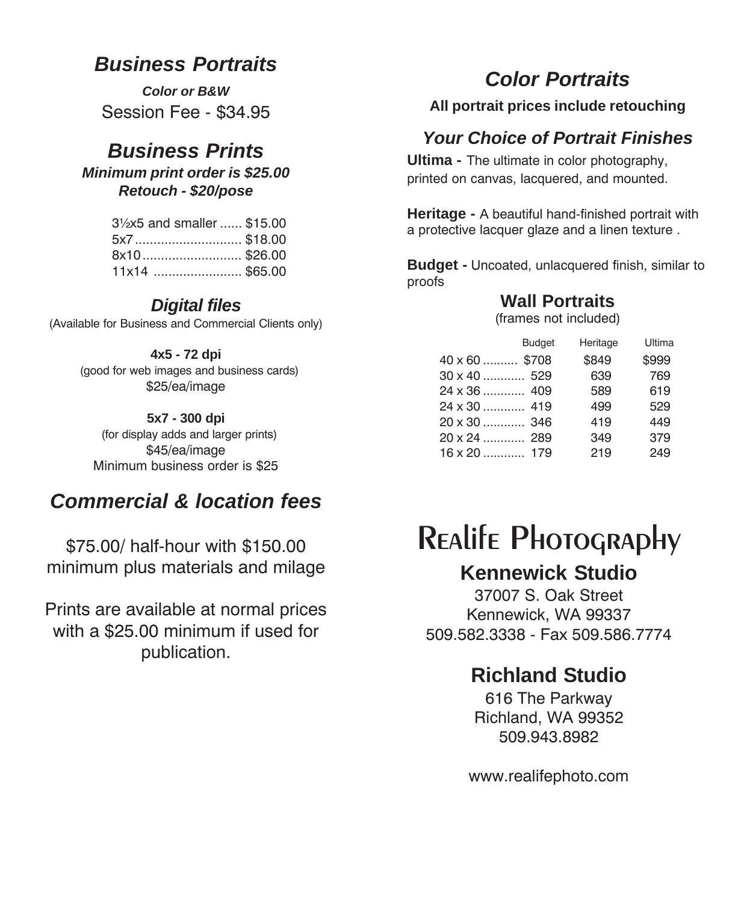#### *Business Portraits*

*Color or B&W* Session Fee - \$34.95

## *Business Prints*

*Minimum print order is \$25.00 Retouch - \$20/pose*

| 31/2x5 and smaller  \$15.00 |  |
|-----------------------------|--|
| 5x7\$18.00                  |  |
| 8x10\$26.00                 |  |
| 11x14 \$65.00               |  |

#### *Digital files*

(Available for Business and Commercial Clients only)

#### **4x5 - 72 dpi**

 (good for web images and business cards) \$25/ea/image

#### **5x7 - 300 dpi**

 (for display adds and larger prints) \$45/ea/image Minimum business order is \$25

## *Commercial & location fees*

\$75.00/ half-hour with \$150.00 minimum plus materials and milage

Prints are available at normal prices with a \$25.00 minimum if used for publication.

## *Color Portraits*

**All portrait prices include retouching**

#### *Your Choice of Portrait Finishes*

**Ultima -** The ultimate in color photography, printed on canvas, lacquered, and mounted.

**Heritage -** A beautiful hand-finished portrait with a protective lacquer glaze and a linen texture .

**Budget -** Uncoated, unlacquered finish, similar to proofs

#### **Wall Portraits**

(frames not included)

|                      | <b>Budget</b> | Heritage | Ultima |
|----------------------|---------------|----------|--------|
| $40 \times 60$ \$708 |               | \$849    | \$999  |
| $30 \times 40$ 529   |               | 639      | 769    |
| 24 x 36  409         |               | 589      | 619    |
| $24 \times 30$ 419   |               | 499      | 529    |
| $20 \times 30$ 346   |               | 419      | 449    |
| 20 x 24  289         |               | 349      | 379    |
| $16 \times 20$ 179   |               | 219      | 249    |

# Realife Photography

#### **Kennewick Studio**

37007 S. Oak Street Kennewick, WA 99337 509.582.3338 - Fax 509.586.7774

## **Richland Studio**

616 The Parkway Richland, WA 99352 509.943.8982

www.realifephoto.com